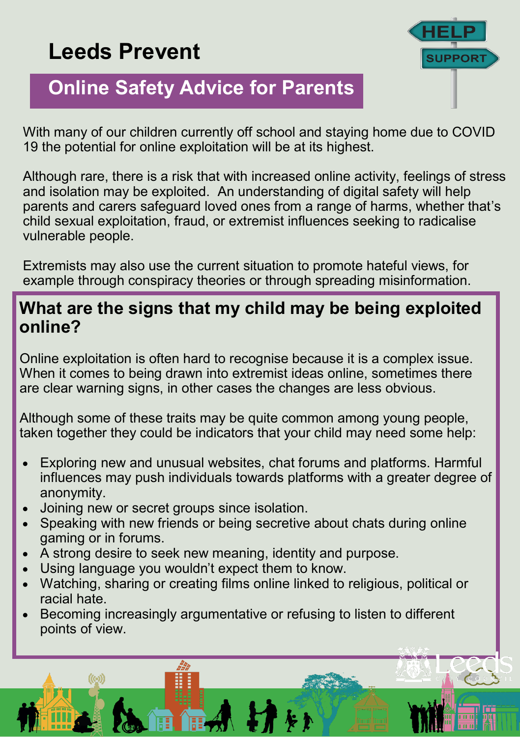# **Leeds Prevent**



## **Online Safety Advice for Parents**

With many of our children currently off school and staying home due to COVID 19 the potential for online exploitation will be at its highest.

Although rare, there is a risk that with increased online activity, feelings of stress and isolation may be exploited. An understanding of digital safety will help parents and carers safeguard loved ones from a range of harms, whether that's child sexual exploitation, fraud, or extremist influences seeking to radicalise vulnerable people.

Extremists may also use the current situation to promote hateful views, for example through conspiracy theories or through spreading misinformation.

#### **What are the signs that my child may be being exploited online?**

Online exploitation is often hard to recognise because it is a complex issue. When it comes to being drawn into extremist ideas online, sometimes there are clear warning signs, in other cases the changes are less obvious.

Although some of these traits may be quite common among young people, taken together they could be indicators that your child may need some help:

- Exploring new and unusual websites, chat forums and platforms. Harmful influences may push individuals towards platforms with a greater degree of anonymity.
- Joining new or secret groups since isolation.
- Speaking with new friends or being secretive about chats during online gaming or in forums.
- A strong desire to seek new meaning, identity and purpose.
- Using language you wouldn't expect them to know.
- Watching, sharing or creating films online linked to religious, political or racial hate.
- Becoming increasingly argumentative or refusing to listen to different points of view.